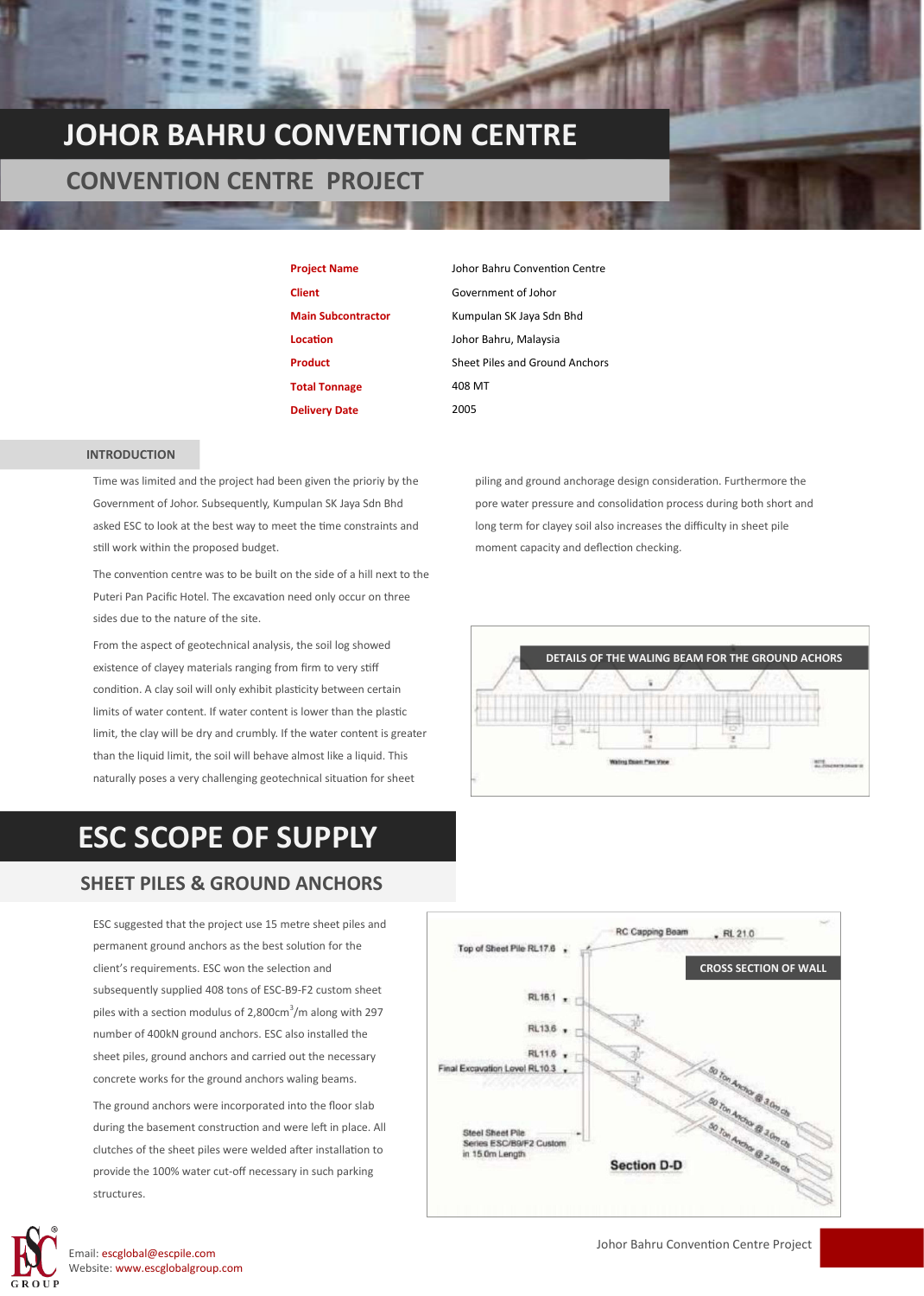### **JOHOR BAHRU CONVENTION CENTRE**

#### **CONVENTION CENTRE PROJECT**

**Client** Government of Johor **Location** Johor Bahru, Malaysia **Total Tonnage** 408 MT **Delivery Date** 2005

**Project Name** Johor Bahru Convention Centre **Main Subcontractor** Kumpulan SK Jaya Sdn Bhd **Product** Sheet Piles and Ground Anchors

#### **INTRODUCTION**

Time was limited and the project had been given the prioriy by the Government of Johor. Subsequently, Kumpulan SK Jaya Sdn Bhd asked ESC to look at the best way to meet the time constraints and still work within the proposed budget.

The convention centre was to be built on the side of a hill next to the Puteri Pan Pacific Hotel. The excavation need only occur on three sides due to the nature of the site.

From the aspect of geotechnical analysis, the soil log showed existence of clayey materials ranging from firm to very stiff condition. A clay soil will only exhibit plasticity between certain limits of water content. If water content is lower than the plastic limit, the clay will be dry and crumbly. If the water content is greater than the liquid limit, the soil will behave almost like a liquid. This naturally poses a very challenging geotechnical situation for sheet

### **ESC SCOPE OF SUPPLY**

#### **SHEET PILES & GROUND ANCHORS**

ESC suggested that the project use 15 metre sheet piles and permanent ground anchors as the best solution for the client's requirements. ESC won the selection and subsequently supplied 408 tons of ESC-B9-F2 custom sheet piles with a section modulus of  $2,800 \text{cm}^3/\text{m}$  along with 297 number of 400kN ground anchors. ESC also installed the sheet piles, ground anchors and carried out the necessary concrete works for the ground anchors waling beams.

The ground anchors were incorporated into the floor slab during the basement construction and were left in place. All clutches of the sheet piles were welded after installation to provide the 100% water cut-off necessary in such parking structures.



Email: escglobal@escpile.com Website: www.escglobalgroup.com



piling and ground anchorage design consideration. Furthermore the pore water pressure and consolidation process during both short and long term for clayey soil also increases the difficulty in sheet pile

moment capacity and deflection checking.



Johor Bahru Convention Centre Project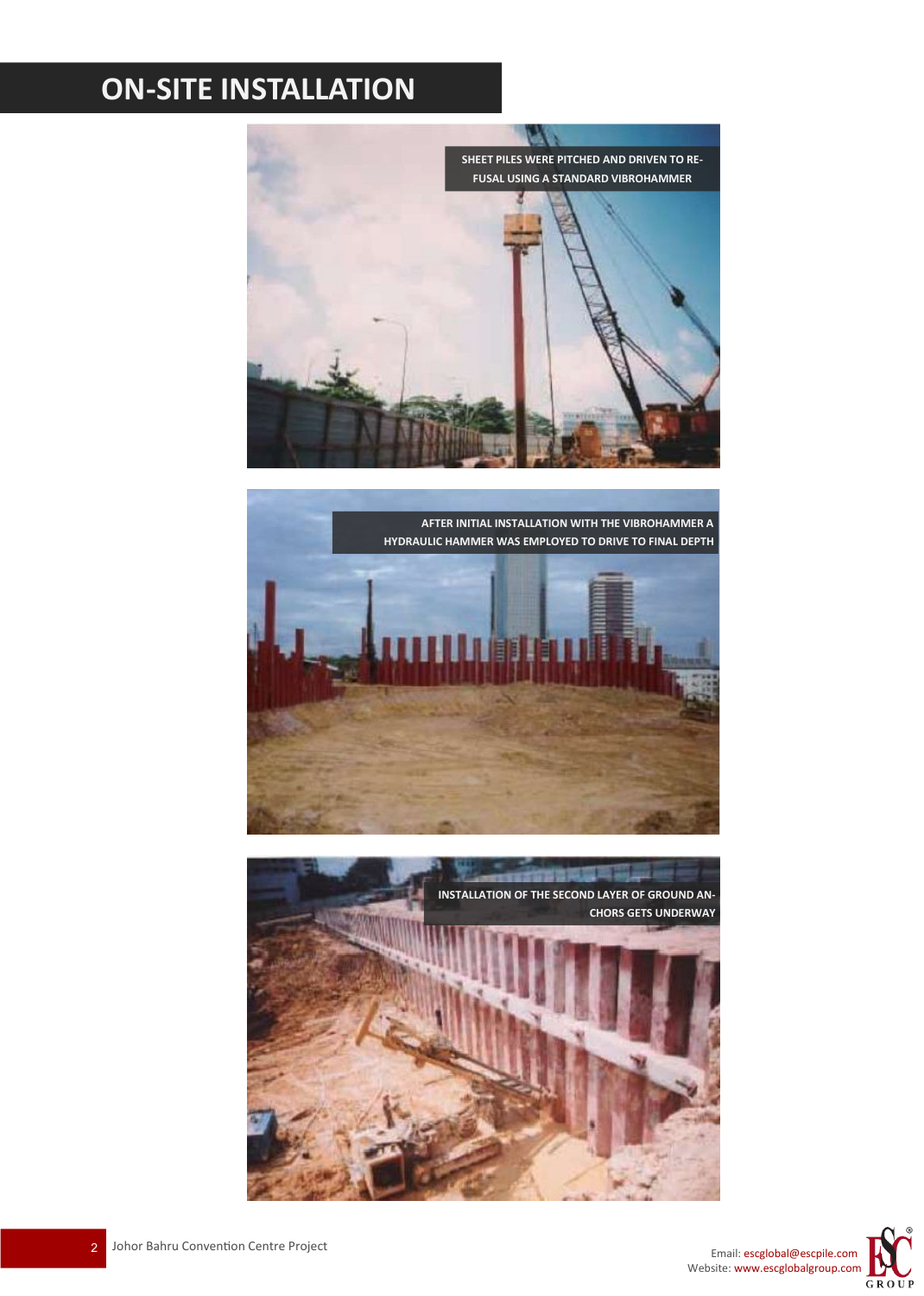# **ON-SITE INSTALLATION**



**AFTER INITIAL INSTALLATION WITH THE VIBROHAMMER A HYDRAULIC HAMMER WAS EMPLOYED TO DRIVE TO FINAL DEPTH**